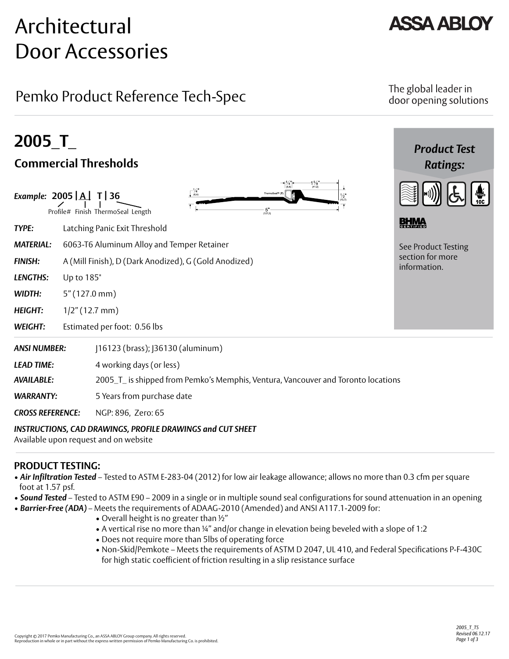# Architectural Door Accessories

## Pemko Product Reference Tech-Spec

## The global leader in door opening solutions

| 2005 T                                   |                         |                                                                                                                                                             | <b>Product Test</b>              |  |
|------------------------------------------|-------------------------|-------------------------------------------------------------------------------------------------------------------------------------------------------------|----------------------------------|--|
| <b>Commercial Thresholds</b>             |                         |                                                                                                                                                             | <b>Ratings:</b>                  |  |
| Example: 2005 $\boxed{A}$ T $\boxed{36}$ |                         | $1\frac{5}{8}$<br>(41.3)<br>$\Gamma_{(6.4)}^{V_4}$<br>ThermoSeal <sup>19</sup> (T<br>$\frac{1}{2}$<br>$-5"$<br>(127.0)<br>Profile# Finish ThermoSeal Length |                                  |  |
| <b>TYPE:</b>                             |                         | Latching Panic Exit Threshold                                                                                                                               | <b>BHMA</b>                      |  |
| <b>MATERIAL:</b>                         |                         | 6063-T6 Aluminum Alloy and Temper Retainer<br>See Product Testing                                                                                           |                                  |  |
| <b>FINISH:</b>                           |                         | A (Mill Finish), D (Dark Anodized), G (Gold Anodized)                                                                                                       | section for more<br>information. |  |
| <b>LENGTHS:</b>                          | Up to 185"              |                                                                                                                                                             |                                  |  |
| WIDTH:                                   | $5''(127.0 \text{ mm})$ |                                                                                                                                                             |                                  |  |
| <b>HEIGHT:</b>                           | $1/2$ " (12.7 mm)       |                                                                                                                                                             |                                  |  |
| <b>WEIGHT:</b>                           |                         | Estimated per foot: 0.56 lbs                                                                                                                                |                                  |  |
| <b>ANSI NUMBER:</b>                      |                         | [16123 (brass); [36130 (aluminum)                                                                                                                           |                                  |  |
| <b>LEAD TIME:</b>                        |                         | 4 working days (or less)                                                                                                                                    |                                  |  |
| <b>AVAILABLE:</b>                        |                         | 2005_T_ is shipped from Pemko's Memphis, Ventura, Vancouver and Toronto locations                                                                           |                                  |  |
| <b>WARRANTY:</b>                         |                         | 5 Years from purchase date                                                                                                                                  |                                  |  |
| <b>CROSS REFERENCE:</b>                  |                         | NGP: 896, Zero: 65                                                                                                                                          |                                  |  |

#### *INSTRUCTIONS, CAD DRAWINGS, PROFILE DRAWINGS and CUT SHEET*

Available upon request and on website

## **PRODUCT TESTING:**

- *Air Infiltration Tested* Tested to ASTM E-283-04 (2012) for low air leakage allowance; allows no more than 0.3 cfm per square foot at 1.57 psf.
- *Sound Tested* Tested to ASTM E90 2009 in a single or in multiple sound seal configurations for sound attenuation in an opening
- *Barrier-Free (ADA)* Meets the requirements of ADAAG-2010 (Amended) and ANSI A117.1-2009 for:
	- Overall height is no greater than ½"
	- A vertical rise no more than ¼" and/or change in elevation being beveled with a slope of 1:2
	- Does not require more than 5lbs of operating force
	- Non-Skid/Pemkote Meets the requirements of ASTM D 2047, UL 410, and Federal Specifications P-F-430C for high static coefficient of friction resulting in a slip resistance surface

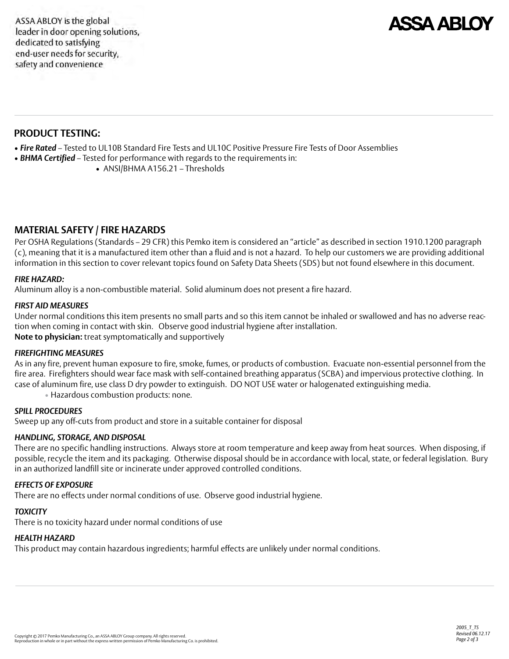

### **PRODUCT TESTING:**

- *Fire Rated*  Tested to UL10B Standard Fire Tests and UL10C Positive Pressure Fire Tests of Door Assemblies
- *BHMA Certified*  Tested for performance with regards to the requirements in:
	- ANSI/BHMA A156.21 Thresholds

### **MATERIAL SAFETY / FIRE HAZARDS**

Per OSHA Regulations (Standards – 29 CFR) this Pemko item is considered an "article" as described in section 1910.1200 paragraph (c), meaning that it is a manufactured item other than a fluid and is not a hazard. To help our customers we are providing additional information in this section to cover relevant topics found on Safety Data Sheets (SDS) but not found elsewhere in this document.

#### *FIRE HAZARD:*

Aluminum alloy is a non-combustible material. Solid aluminum does not present a fire hazard.

#### *FIRST AID MEASURES*

Under normal conditions this item presents no small parts and so this item cannot be inhaled or swallowed and has no adverse reaction when coming in contact with skin. Observe good industrial hygiene after installation. **Note to physician:** treat symptomatically and supportively

#### *FIREFIGHTING MEASURES*

As in any fire, prevent human exposure to fire, smoke, fumes, or products of combustion. Evacuate non-essential personnel from the fire area. Firefighters should wear face mask with self-contained breathing apparatus (SCBA) and impervious protective clothing. In case of aluminum fire, use class D dry powder to extinguish. DO NOT USE water or halogenated extinguishing media.

• Hazardous combustion products: none.

#### *SPILL PROCEDURES*

Sweep up any off-cuts from product and store in a suitable container for disposal

#### *HANDLING, STORAGE, AND DISPOSAL*

There are no specific handling instructions. Always store at room temperature and keep away from heat sources. When disposing, if possible, recycle the item and its packaging. Otherwise disposal should be in accordance with local, state, or federal legislation. Bury in an authorized landfill site or incinerate under approved controlled conditions.

#### *EFFECTS OF EXPOSURE*

There are no effects under normal conditions of use. Observe good industrial hygiene.

#### *TOXICITY*

There is no toxicity hazard under normal conditions of use

#### *HEALTH HAZARD*

This product may contain hazardous ingredients; harmful effects are unlikely under normal conditions.